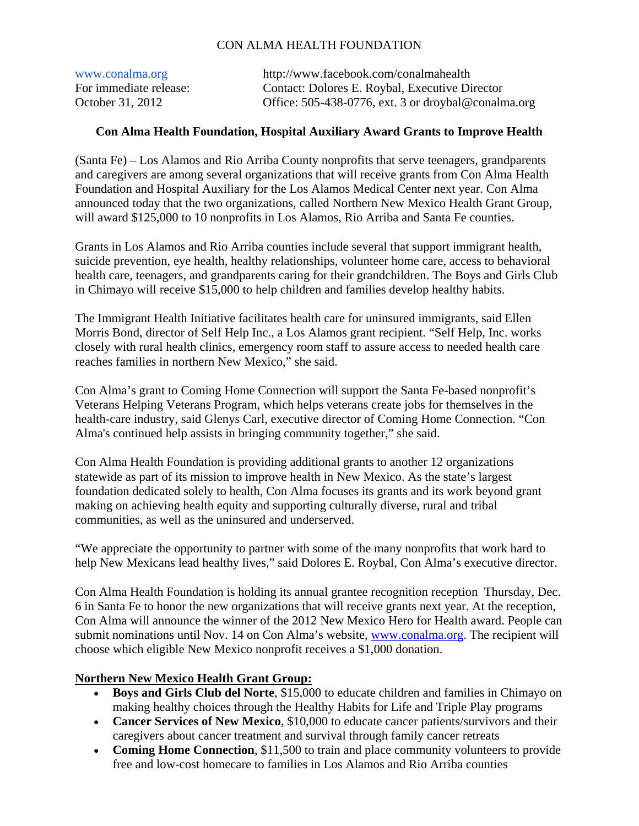## CON ALMA HEALTH FOUNDATION

| www.conalma.org        | http://www.facebook.com/conalmahealth               |
|------------------------|-----------------------------------------------------|
| For immediate release: | Contact: Dolores E. Roybal, Executive Director      |
| October 31, 2012       | Office: 505-438-0776, ext. 3 or droybal@conalma.org |

## **Con Alma Health Foundation, Hospital Auxiliary Award Grants to Improve Health**

(Santa Fe) – Los Alamos and Rio Arriba County nonprofits that serve teenagers, grandparents and caregivers are among several organizations that will receive grants from Con Alma Health Foundation and Hospital Auxiliary for the Los Alamos Medical Center next year. Con Alma announced today that the two organizations, called Northern New Mexico Health Grant Group, will award \$125,000 to 10 nonprofits in Los Alamos, Rio Arriba and Santa Fe counties.

Grants in Los Alamos and Rio Arriba counties include several that support immigrant health, suicide prevention, eye health, healthy relationships, volunteer home care, access to behavioral health care, teenagers, and grandparents caring for their grandchildren. The Boys and Girls Club in Chimayo will receive \$15,000 to help children and families develop healthy habits.

The Immigrant Health Initiative facilitates health care for uninsured immigrants, said Ellen Morris Bond, director of Self Help Inc., a Los Alamos grant recipient. "Self Help, Inc. works closely with rural health clinics, emergency room staff to assure access to needed health care reaches families in northern New Mexico," she said.

Con Alma's grant to Coming Home Connection will support the Santa Fe-based nonprofit's Veterans Helping Veterans Program, which helps veterans create jobs for themselves in the health-care industry, said Glenys Carl, executive director of Coming Home Connection. "Con Alma's continued help assists in bringing community together," she said.

Con Alma Health Foundation is providing additional grants to another 12 organizations statewide as part of its mission to improve health in New Mexico. As the state's largest foundation dedicated solely to health, Con Alma focuses its grants and its work beyond grant making on achieving health equity and supporting culturally diverse, rural and tribal communities, as well as the uninsured and underserved.

"We appreciate the opportunity to partner with some of the many nonprofits that work hard to help New Mexicans lead healthy lives," said Dolores E. Roybal, Con Alma's executive director.

Con Alma Health Foundation is holding its annual grantee recognition reception Thursday, Dec. 6 in Santa Fe to honor the new organizations that will receive grants next year. At the reception, Con Alma will announce the winner of the 2012 New Mexico Hero for Health award. People can submit nominations until Nov. 14 on Con Alma's website, www.conalma.org. The recipient will choose which eligible New Mexico nonprofit receives a \$1,000 donation.

## **Northern New Mexico Health Grant Group:**

- **Boys and Girls Club del Norte**, \$15,000 to educate children and families in Chimayo on making healthy choices through the Healthy Habits for Life and Triple Play programs
- **Cancer Services of New Mexico**, \$10,000 to educate cancer patients/survivors and their caregivers about cancer treatment and survival through family cancer retreats
- **Coming Home Connection**, \$11,500 to train and place community volunteers to provide free and low-cost homecare to families in Los Alamos and Rio Arriba counties